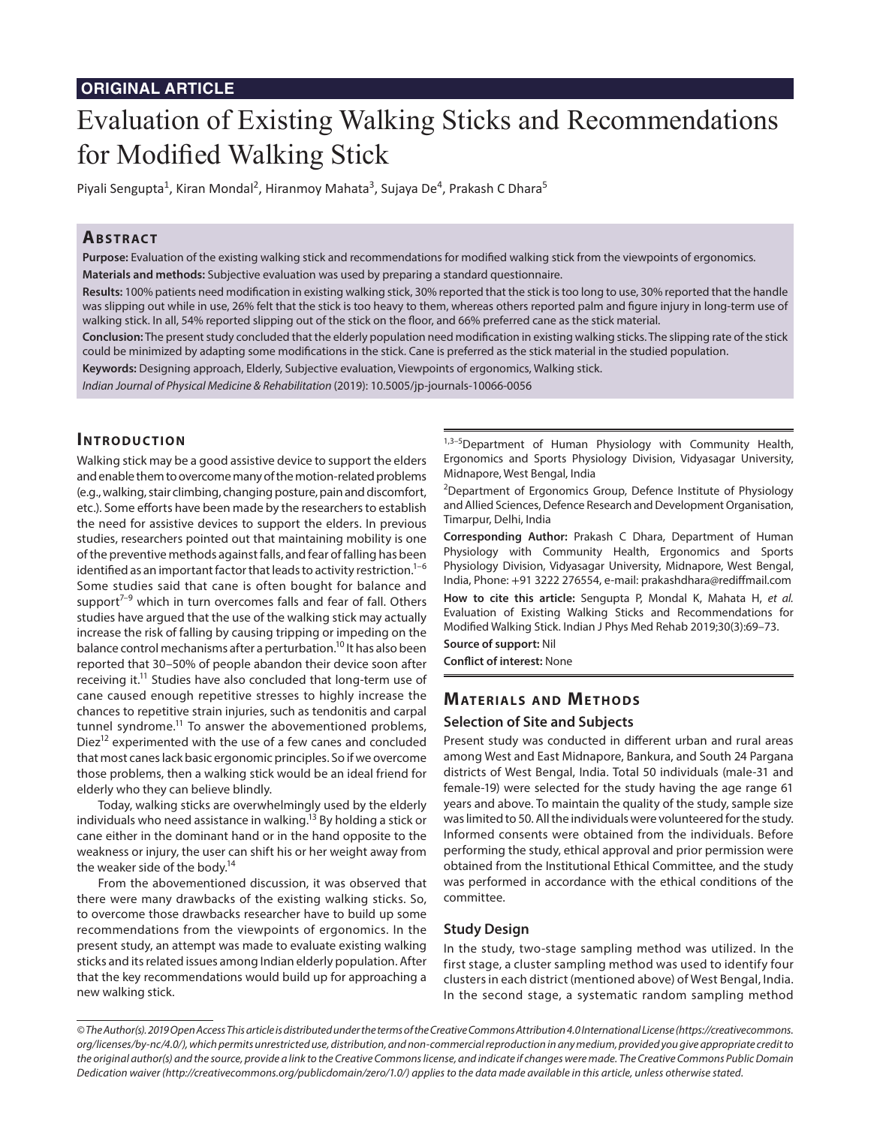# **ORIGINAL ARTICLE**

# Evaluation of Existing Walking Sticks and Recommendations for Modified Walking Stick

Piyali Sengupta<sup>1</sup>, Kiran Mondal<sup>2</sup>, Hiranmoy Mahata<sup>3</sup>, Sujaya De<sup>4</sup>, Prakash C Dhara<sup>5</sup>

# **ABSTRACT**

**Purpose:** Evaluation of the existing walking stick and recommendations for modified walking stick from the viewpoints of ergonomics. **Materials and methods:** Subjective evaluation was used by preparing a standard questionnaire.

**Results:** 100% patients need modification in existing walking stick, 30% reported that the stick is too long to use, 30% reported that the handle was slipping out while in use, 26% felt that the stick is too heavy to them, whereas others reported palm and figure injury in long-term use of walking stick. In all, 54% reported slipping out of the stick on the floor, and 66% preferred cane as the stick material.

**Conclusion:** The present study concluded that the elderly population need modification in existing walking sticks. The slipping rate of the stick could be minimized by adapting some modifications in the stick. Cane is preferred as the stick material in the studied population.

**Keywords:** Designing approach, Elderly, Subjective evaluation, Viewpoints of ergonomics, Walking stick.

*Indian Journal of Physical Medicine & Rehabilitation* (2019): 10.5005/jp-journals-10066-0056

## **INTRODUCTION**

Walking stick may be a good assistive device to support the elders and enable them to overcome many of the motion-related problems (e.g., walking, stair climbing, changing posture, pain and discomfort, etc.). Some efforts have been made by the researchers to establish the need for assistive devices to support the elders. In previous studies, researchers pointed out that maintaining mobility is one of the preventive methods against falls, and fear of falling has been identified as an important factor that leads to activity restriction. $1-6$ Some studies said that cane is often bought for balance and support $7-9$  which in turn overcomes falls and fear of fall. Others studies have argued that the use of the walking stick may actually increase the risk of falling by causing tripping or impeding on the balance control mechanisms after a perturbation.<sup>10</sup> It has also been reported that 30–50% of people abandon their device soon after receiving it.<sup>11</sup> Studies have also concluded that long-term use of cane caused enough repetitive stresses to highly increase the chances to repetitive strain injuries, such as tendonitis and carpal tunnel syndrome.<sup>11</sup> To answer the abovementioned problems, Diez<sup>12</sup> experimented with the use of a few canes and concluded that most canes lack basic ergonomic principles. So if we overcome those problems, then a walking stick would be an ideal friend for elderly who they can believe blindly.

Today, walking sticks are overwhelmingly used by the elderly individuals who need assistance in walking.<sup>13</sup> By holding a stick or cane either in the dominant hand or in the hand opposite to the weakness or injury, the user can shift his or her weight away from the weaker side of the body.<sup>14</sup>

From the abovementioned discussion, it was observed that there were many drawbacks of the existing walking sticks. So, to overcome those drawbacks researcher have to build up some recommendations from the viewpoints of ergonomics. In the present study, an attempt was made to evaluate existing walking sticks and its related issues among Indian elderly population. After that the key recommendations would build up for approaching a new walking stick.

1,3-5Department of Human Physiology with Community Health, Ergonomics and Sports Physiology Division, Vidyasagar University, Midnapore, West Bengal, India

<sup>2</sup>Department of Ergonomics Group, Defence Institute of Physiology and Allied Sciences, Defence Research and Development Organisation, Timarpur, Delhi, India

**Corresponding Author:** Prakash C Dhara, Department of Human Physiology with Community Health, Ergonomics and Sports Physiology Division, Vidyasagar University, Midnapore, West Bengal, India, Phone: +91 3222 276554, e-mail: prakashdhara@rediffmail.com

**How to cite this article:** Sengupta P, Mondal K, Mahata H, *et al.* Evaluation of Existing Walking Sticks and Recommendations for Modified Walking Stick. Indian J Phys Med Rehab 2019;30(3):69–73.

**Source of support:** Nil

**Conflict of interest:** None

## **MATERIALS AND METHODS**

#### **Selection of Site and Subjects**

Present study was conducted in different urban and rural areas among West and East Midnapore, Bankura, and South 24 Pargana districts of West Bengal, India. Total 50 individuals (male-31 and female-19) were selected for the study having the age range 61 years and above. To maintain the quality of the study, sample size was limited to 50. All the individuals were volunteered for the study. Informed consents were obtained from the individuals. Before performing the study, ethical approval and prior permission were obtained from the Institutional Ethical Committee, and the study was performed in accordance with the ethical conditions of the committee.

#### **Study Design**

In the study, two-stage sampling method was utilized. In the first stage, a cluster sampling method was used to identify four clusters in each district (mentioned above) of West Bengal, India. In the second stage, a systematic random sampling method

*<sup>©</sup> The Author(s). 2019 Open Access This article is distributed under the terms of the Creative Commons Attribution 4.0 International License (https://creativecommons. org/licenses/by-nc/4.0/), which permits unrestricted use, distribution, and non-commercial reproduction in any medium, provided you give appropriate credit to the original author(s) and the source, provide a link to the Creative Commons license, and indicate if changes were made. The Creative Commons Public Domain Dedication waiver (http://creativecommons.org/publicdomain/zero/1.0/) applies to the data made available in this article, unless otherwise stated.*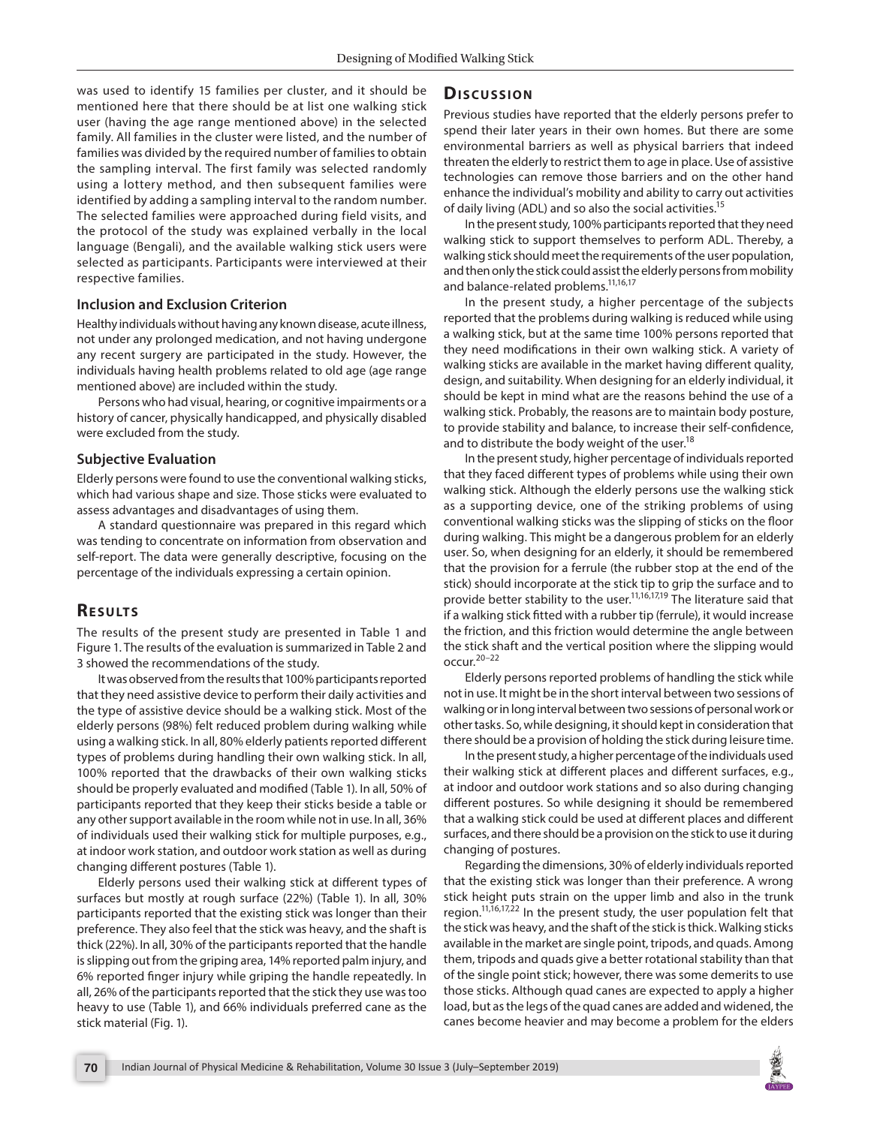was used to identify 15 families per cluster, and it should be mentioned here that there should be at list one walking stick user (having the age range mentioned above) in the selected family. All families in the cluster were listed, and the number of families was divided by the required number of families to obtain the sampling interval. The first family was selected randomly using a lottery method, and then subsequent families were identified by adding a sampling interval to the random number. The selected families were approached during field visits, and the protocol of the study was explained verbally in the local language (Bengali), and the available walking stick users were selected as participants. Participants were interviewed at their respective families.

#### **Inclusion and Exclusion Criterion**

Healthy individuals without having any known disease, acute illness, not under any prolonged medication, and not having undergone any recent surgery are participated in the study. However, the individuals having health problems related to old age (age range mentioned above) are included within the study.

Persons who had visual, hearing, or cognitive impairments or a history of cancer, physically handicapped, and physically disabled were excluded from the study.

#### **Subjective Evaluation**

Elderly persons were found to use the conventional walking sticks, which had various shape and size. Those sticks were evaluated to assess advantages and disadvantages of using them.

A standard questionnaire was prepared in this regard which was tending to concentrate on information from observation and self-report. The data were generally descriptive, focusing on the percentage of the individuals expressing a certain opinion.

## **RESULTS**

The results of the present study are presented in Table 1 and Figure 1. The results of the evaluation is summarized in Table 2 and 3 showed the recommendations of the study.

It was observed from the results that 100% participants reported that they need assistive device to perform their daily activities and the type of assistive device should be a walking stick. Most of the elderly persons (98%) felt reduced problem during walking while using a walking stick. In all, 80% elderly patients reported different types of problems during handling their own walking stick. In all, 100% reported that the drawbacks of their own walking sticks should be properly evaluated and modified (Table 1). In all, 50% of participants reported that they keep their sticks beside a table or any other support available in the room while not in use. In all, 36% of individuals used their walking stick for multiple purposes, e.g., at indoor work station, and outdoor work station as well as during changing different postures (Table 1).

Elderly persons used their walking stick at different types of surfaces but mostly at rough surface (22%) (Table 1). In all, 30% participants reported that the existing stick was longer than their preference. They also feel that the stick was heavy, and the shaft is thick (22%). In all, 30% of the participants reported that the handle is slipping out from the griping area, 14% reported palm injury, and 6% reported finger injury while griping the handle repeatedly. In all, 26% of the participants reported that the stick they use was too heavy to use (Table 1), and 66% individuals preferred cane as the stick material (Fig. 1).

## **Dis c u s sio n**

Previous studies have reported that the elderly persons prefer to spend their later years in their own homes. But there are some environmental barriers as well as physical barriers that indeed threaten the elderly to restrict them to age in place. Use of assistive technologies can remove those barriers and on the other hand enhance the individual's mobility and ability to carry out activities of daily living (ADL) and so also the social activities.<sup>15</sup>

In the present study, 100% participants reported that they need walking stick to support themselves to perform ADL. Thereby, a walking stick should meet the requirements of the user population, and then only the stick could assist the elderly persons from mobility and balance-related problems.11,16,17

In the present study, a higher percentage of the subjects reported that the problems during walking is reduced while using a walking stick, but at the same time 100% persons reported that they need modifications in their own walking stick. A variety of walking sticks are available in the market having different quality, design, and suitability. When designing for an elderly individual, it should be kept in mind what are the reasons behind the use of a walking stick. Probably, the reasons are to maintain body posture, to provide stability and balance, to increase their self-confidence, and to distribute the body weight of the user.<sup>18</sup>

In the present study, higher percentage of individuals reported that they faced different types of problems while using their own walking stick. Although the elderly persons use the walking stick as a supporting device, one of the striking problems of using conventional walking sticks was the slipping of sticks on the floor during walking. This might be a dangerous problem for an elderly user. So, when designing for an elderly, it should be remembered that the provision for a ferrule (the rubber stop at the end of the stick) should incorporate at the stick tip to grip the surface and to provide better stability to the user.<sup>11,16,17,19</sup> The literature said that if a walking stick fitted with a rubber tip (ferrule), it would increase the friction, and this friction would determine the angle between the stick shaft and the vertical position where the slipping would occur. $20-22$ 

Elderly persons reported problems of handling the stick while not in use. It might be in the short interval between two sessions of walking or in long interval between two sessions of personal work or other tasks. So, while designing, it should kept in consideration that there should be a provision of holding the stick during leisure time.

In the present study, a higher percentage of the individuals used their walking stick at different places and different surfaces, e.g., at indoor and outdoor work stations and so also during changing different postures. So while designing it should be remembered that a walking stick could be used at different places and different surfaces, and there should be a provision on the stick to use it during changing of postures.

Regarding the dimensions, 30% of elderly individuals reported that the existing stick was longer than their preference. A wrong stick height puts strain on the upper limb and also in the trunk region.<sup>11,16,17,22</sup> In the present study, the user population felt that the stick was heavy, and the shaft of the stick is thick. Walking sticks available in the market are single point, tripods, and quads. Among them, tripods and quads give a better rotational stability than that of the single point stick; however, there was some demerits to use those sticks. Although quad canes are expected to apply a higher load, but as the legs of the quad canes are added and widened, the canes become heavier and may become a problem for the elders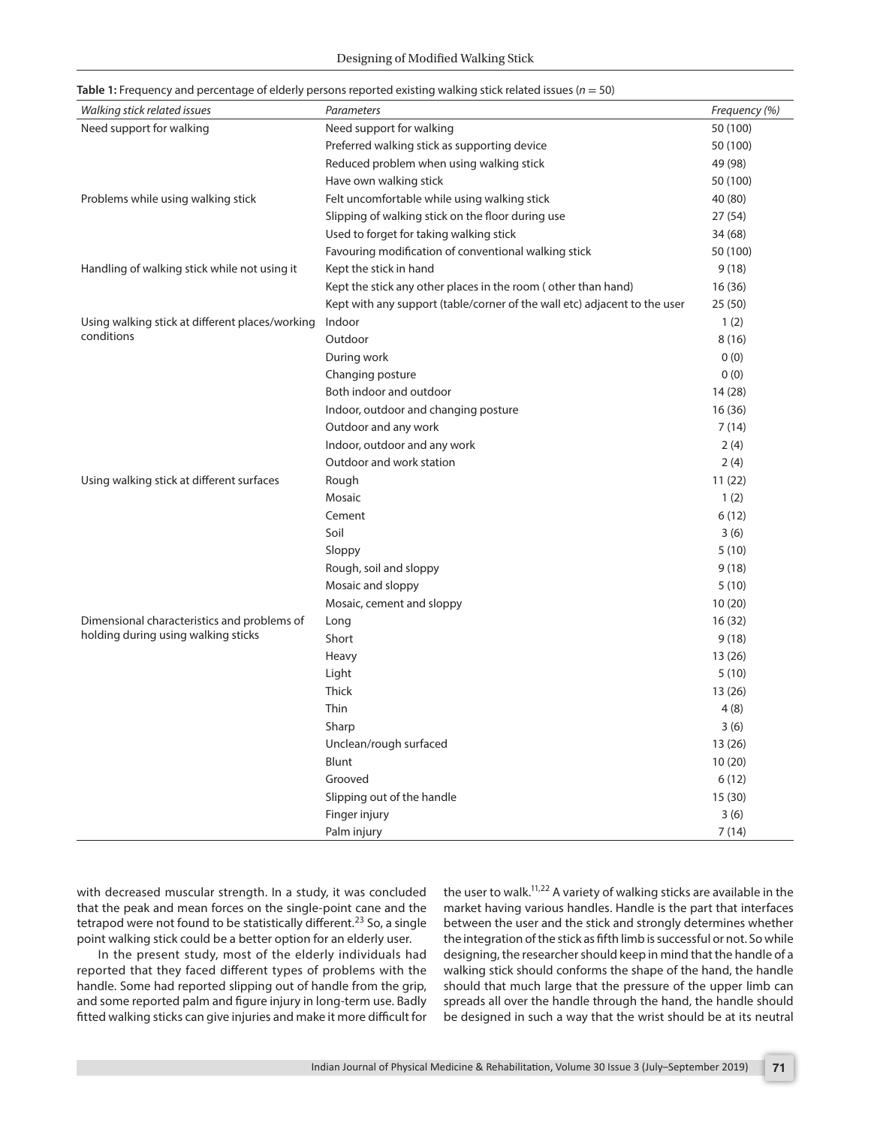|  |  |  |  | Table 1: Frequency and percentage of elderly persons reported existing walking stick related issues ( $n = 50$ ) |
|--|--|--|--|------------------------------------------------------------------------------------------------------------------|
|--|--|--|--|------------------------------------------------------------------------------------------------------------------|

| Walking stick related issues                    | Parameters                                                                | Frequency (%) |
|-------------------------------------------------|---------------------------------------------------------------------------|---------------|
| Need support for walking                        | Need support for walking                                                  | 50 (100)      |
|                                                 | Preferred walking stick as supporting device                              | 50 (100)      |
|                                                 | Reduced problem when using walking stick                                  | 49 (98)       |
|                                                 | Have own walking stick                                                    | 50 (100)      |
| Problems while using walking stick              | Felt uncomfortable while using walking stick                              | 40 (80)       |
|                                                 | Slipping of walking stick on the floor during use                         | 27 (54)       |
|                                                 | Used to forget for taking walking stick                                   | 34 (68)       |
|                                                 | Favouring modification of conventional walking stick                      | 50 (100)      |
| Handling of walking stick while not using it    | Kept the stick in hand                                                    | 9(18)         |
|                                                 | Kept the stick any other places in the room (other than hand)             | 16 (36)       |
|                                                 | Kept with any support (table/corner of the wall etc) adjacent to the user | 25 (50)       |
| Using walking stick at different places/working | Indoor                                                                    | 1(2)          |
| conditions                                      | Outdoor                                                                   | 8(16)         |
|                                                 | During work                                                               | 0(0)          |
|                                                 | Changing posture                                                          | 0(0)          |
|                                                 | Both indoor and outdoor                                                   | 14 (28)       |
|                                                 | Indoor, outdoor and changing posture                                      | 16 (36)       |
|                                                 | Outdoor and any work                                                      | 7(14)         |
|                                                 | Indoor, outdoor and any work                                              | 2(4)          |
|                                                 | Outdoor and work station                                                  | 2(4)          |
| Using walking stick at different surfaces       | Rough                                                                     | 11(22)        |
|                                                 | Mosaic                                                                    | 1(2)          |
|                                                 | Cement                                                                    | 6(12)         |
|                                                 | Soil                                                                      | 3(6)          |
|                                                 | Sloppy                                                                    | 5(10)         |
|                                                 | Rough, soil and sloppy                                                    | 9(18)         |
|                                                 | Mosaic and sloppy                                                         | 5(10)         |
|                                                 | Mosaic, cement and sloppy                                                 | 10(20)        |
| Dimensional characteristics and problems of     | Long                                                                      | 16(32)        |
| holding during using walking sticks             | Short                                                                     | 9(18)         |
|                                                 | Heavy                                                                     | 13 (26)       |
|                                                 | Light                                                                     | 5(10)         |
|                                                 | <b>Thick</b>                                                              | 13 (26)       |
|                                                 | Thin                                                                      | 4(8)          |
|                                                 | Sharp                                                                     | 3(6)          |
|                                                 | Unclean/rough surfaced                                                    | 13 (26)       |
|                                                 | Blunt                                                                     | 10(20)        |
|                                                 | Grooved                                                                   | 6(12)         |
|                                                 | Slipping out of the handle                                                | 15 (30)       |
|                                                 | Finger injury                                                             | 3(6)          |
|                                                 | Palm injury                                                               | 7(14)         |

with decreased muscular strength. In a study, it was concluded that the peak and mean forces on the single-point cane and the tetrapod were not found to be statistically different.<sup>23</sup> So, a single point walking stick could be a better option for an elderly user.

In the present study, most of the elderly individuals had reported that they faced different types of problems with the handle. Some had reported slipping out of handle from the grip, and some reported palm and figure injury in long-term use. Badly fitted walking sticks can give injuries and make it more difficult for the user to walk.<sup>11,22</sup> A variety of walking sticks are available in the market having various handles. Handle is the part that interfaces between the user and the stick and strongly determines whether the integration of the stick as fifth limb is successful or not. So while designing, the researcher should keep in mind that the handle of a walking stick should conforms the shape of the hand, the handle should that much large that the pressure of the upper limb can spreads all over the handle through the hand, the handle should be designed in such a way that the wrist should be at its neutral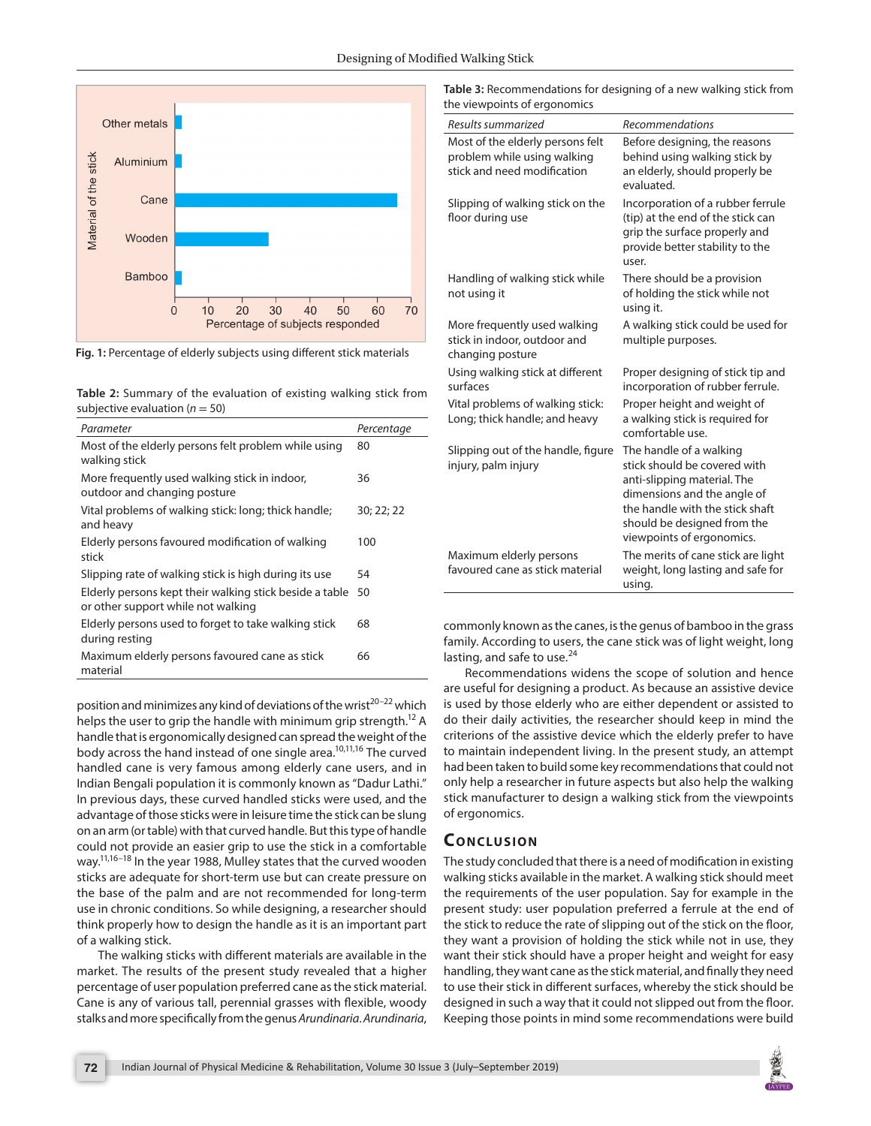



**Table 2:** Summary of the evaluation of existing walking stick from subjective evaluation  $(n = 50)$ 

| Parameter                                                                                     | Percentage |
|-----------------------------------------------------------------------------------------------|------------|
| Most of the elderly persons felt problem while using<br>walking stick                         | 80         |
| More frequently used walking stick in indoor,<br>outdoor and changing posture                 | 36         |
| Vital problems of walking stick: long; thick handle;<br>and heavy                             | 30; 22; 22 |
| Elderly persons favoured modification of walking<br>stick                                     | 100        |
| Slipping rate of walking stick is high during its use                                         | 54         |
| Elderly persons kept their walking stick beside a table<br>or other support while not walking | 50         |
| Elderly persons used to forget to take walking stick                                          | 68         |
| during resting                                                                                |            |
| Maximum elderly persons favoured cane as stick<br>material                                    | 66         |

position and minimizes any kind of deviations of the wrist<sup>20-22</sup> which helps the user to grip the handle with minimum grip strength.<sup>12</sup> A handle that is ergonomically designed can spread the weight of the body across the hand instead of one single area.<sup>10,11,16</sup> The curved handled cane is very famous among elderly cane users, and in Indian Bengali population it is commonly known as "Dadur Lathi." In previous days, these curved handled sticks were used, and the advantage of those sticks were in leisure time the stick can be slung on an arm (or table) with that curved handle. But this type of handle could not provide an easier grip to use the stick in a comfortable way.<sup>11,16-18</sup> In the year 1988, Mulley states that the curved wooden sticks are adequate for short-term use but can create pressure on the base of the palm and are not recommended for long-term use in chronic conditions. So while designing, a researcher should think properly how to design the handle as it is an important part of a walking stick.

The walking sticks with different materials are available in the market. The results of the present study revealed that a higher percentage of user population preferred cane as the stick material. Cane is any of various tall, perennial grasses with flexible, woody stalks and more specifically from the genus *Arundinaria*. *Arundinaria*, **Table 3:** Recommendations for designing of a new walking stick from the viewpoints of ergonomics

| Results summarized                                                                             | <b>Recommendations</b>                                                                                                                                                                                               |
|------------------------------------------------------------------------------------------------|----------------------------------------------------------------------------------------------------------------------------------------------------------------------------------------------------------------------|
| Most of the elderly persons felt<br>problem while using walking<br>stick and need modification | Before designing, the reasons<br>behind using walking stick by<br>an elderly, should properly be<br>evaluated.                                                                                                       |
| Slipping of walking stick on the<br>floor during use                                           | Incorporation of a rubber ferrule<br>(tip) at the end of the stick can<br>grip the surface properly and<br>provide better stability to the<br>user.                                                                  |
| Handling of walking stick while<br>not using it                                                | There should be a provision<br>of holding the stick while not<br>using it.                                                                                                                                           |
| More frequently used walking<br>stick in indoor, outdoor and<br>changing posture               | A walking stick could be used for<br>multiple purposes.                                                                                                                                                              |
| Using walking stick at different<br>surfaces                                                   | Proper designing of stick tip and<br>incorporation of rubber ferrule.                                                                                                                                                |
| Vital problems of walking stick:<br>Long; thick handle; and heavy                              | Proper height and weight of<br>a walking stick is required for<br>comfortable use.                                                                                                                                   |
| Slipping out of the handle, figure<br>injury, palm injury                                      | The handle of a walking<br>stick should be covered with<br>anti-slipping material. The<br>dimensions and the angle of<br>the handle with the stick shaft<br>should be designed from the<br>viewpoints of ergonomics. |
| Maximum elderly persons<br>favoured cane as stick material                                     | The merits of cane stick are light<br>weight, long lasting and safe for<br>using.                                                                                                                                    |

commonly known as the canes, is the genus of bamboo in the grass family. According to users, the cane stick was of light weight, long lasting, and safe to use.<sup>24</sup>

Recommendations widens the scope of solution and hence are useful for designing a product. As because an assistive device is used by those elderly who are either dependent or assisted to do their daily activities, the researcher should keep in mind the criterions of the assistive device which the elderly prefer to have to maintain independent living. In the present study, an attempt had been taken to build some key recommendations that could not only help a researcher in future aspects but also help the walking stick manufacturer to design a walking stick from the viewpoints of ergonomics.

# **CONCLUSION**

The study concluded that there is a need of modification in existing walking sticks available in the market. A walking stick should meet the requirements of the user population. Say for example in the present study: user population preferred a ferrule at the end of the stick to reduce the rate of slipping out of the stick on the floor, they want a provision of holding the stick while not in use, they want their stick should have a proper height and weight for easy handling, they want cane as the stick material, and finally they need to use their stick in different surfaces, whereby the stick should be designed in such a way that it could not slipped out from the floor. Keeping those points in mind some recommendations were build